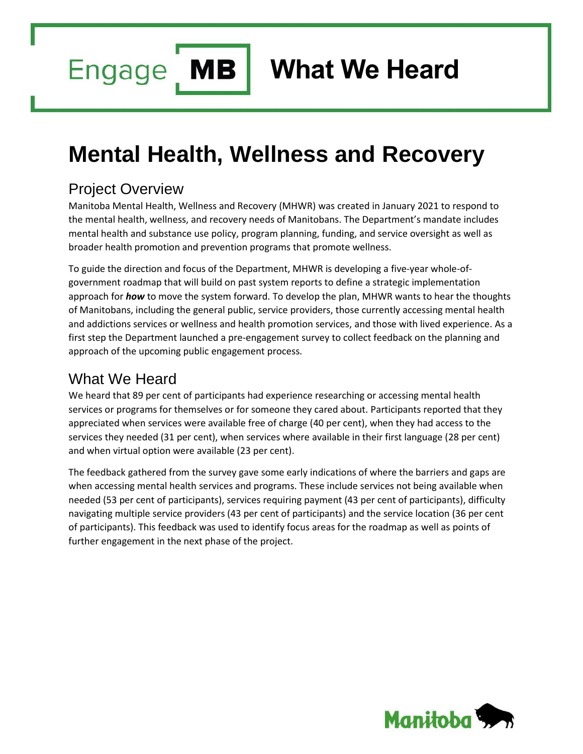**MB Engage** 

**What We Heard**

## **Mental Health, Wellness and Recovery**

## Project Overview

Manitoba Mental Health, Wellness and Recovery (MHWR) was created in January 2021 to respond to the mental health, wellness, and recovery needs of Manitobans. The Department's mandate includes mental health and substance use policy, program planning, funding, and service oversight as well as broader health promotion and prevention programs that promote wellness.

To guide the direction and focus of the Department, MHWR is developing a five-year whole-ofgovernment roadmap that will build on past system reports to define a strategic implementation approach for *how* to move the system forward. To develop the plan, MHWR wants to hear the thoughts of Manitobans, including the general public, service providers, those currently accessing mental health and addictions services or wellness and health promotion services, and those with lived experience. As a first step the Department launched a pre-engagement survey to collect feedback on the planning and approach of the upcoming public engagement process.

## What We Heard

We heard that 89 per cent of participants had experience researching or accessing mental health services or programs for themselves or for someone they cared about. Participants reported that they appreciated when services were available free of charge (40 per cent), when they had access to the services they needed (31 per cent), when services where available in their first language (28 per cent) and when virtual option were available (23 per cent).

The feedback gathered from the survey gave some early indications of where the barriers and gaps are when accessing mental health services and programs. These include services not being available when needed (53 per cent of participants), services requiring payment (43 per cent of participants), difficulty navigating multiple service providers (43 per cent of participants) and the service location (36 per cent of participants). This feedback was used to identify focus areas for the roadmap as well as points of further engagement in the next phase of the project.